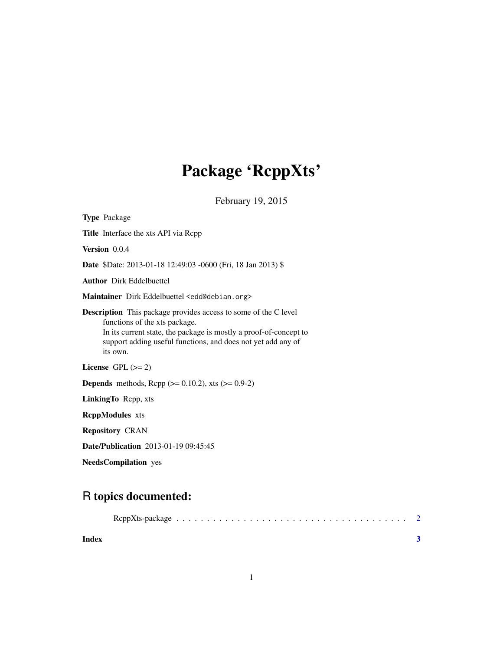## Package 'RcppXts'

February 19, 2015

<span id="page-0-0"></span>

| <b>Type Package</b>                                                                                                                                                                                                                                      |  |  |  |
|----------------------------------------------------------------------------------------------------------------------------------------------------------------------------------------------------------------------------------------------------------|--|--|--|
| <b>Title</b> Interface the xts API via Rcpp                                                                                                                                                                                                              |  |  |  |
| <b>Version</b> 0.0.4                                                                                                                                                                                                                                     |  |  |  |
| <b>Date</b> \$Date: 2013-01-18 12:49:03 -0600 (Fri, 18 Jan 2013) \$                                                                                                                                                                                      |  |  |  |
| <b>Author</b> Dirk Eddelbuettel                                                                                                                                                                                                                          |  |  |  |
| Maintainer Dirk Eddelbuettel <edd@debian.org></edd@debian.org>                                                                                                                                                                                           |  |  |  |
| <b>Description</b> This package provides access to some of the C level<br>functions of the xts package.<br>In its current state, the package is mostly a proof-of-concept to<br>support adding useful functions, and does not yet add any of<br>its own. |  |  |  |
| License GPL $(>= 2)$                                                                                                                                                                                                                                     |  |  |  |
| <b>Depends</b> methods, Rcpp ( $> = 0.10.2$ ), xts ( $> = 0.9-2$ )                                                                                                                                                                                       |  |  |  |
| LinkingTo Repp, xts                                                                                                                                                                                                                                      |  |  |  |
| <b>ReppModules</b> xts                                                                                                                                                                                                                                   |  |  |  |
| <b>Repository CRAN</b>                                                                                                                                                                                                                                   |  |  |  |
| Date/Publication 2013-01-19 09:45:45                                                                                                                                                                                                                     |  |  |  |

NeedsCompilation yes

### R topics documented:

| Index |  |
|-------|--|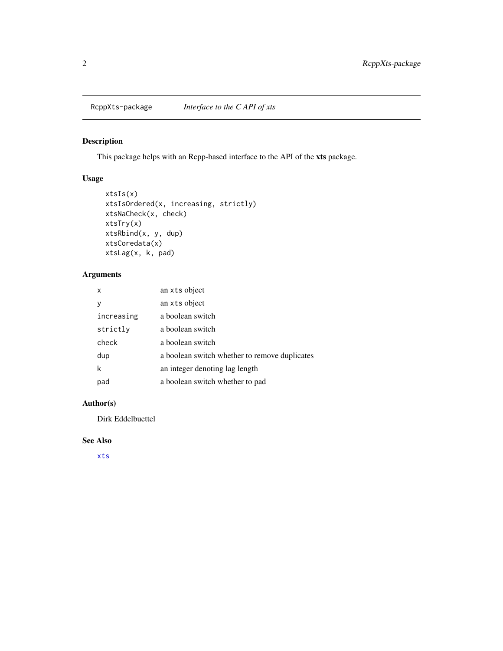<span id="page-1-0"></span>

#### Description

This package helps with an Rcpp-based interface to the API of the xts package.

### Usage

```
xtsIs(x)
xtsIsOrdered(x, increasing, strictly)
xtsNaCheck(x, check)
xtsTry(x)
xtsRbind(x, y, dup)
xtsCoredata(x)
xtsLag(x, k, pad)
```
#### Arguments

| x          | an xts object                                 |
|------------|-----------------------------------------------|
| у          | an xts object                                 |
| increasing | a boolean switch                              |
| strictly   | a boolean switch                              |
| check      | a boolean switch                              |
| dup        | a boolean switch whether to remove duplicates |
| k          | an integer denoting lag length                |
| pad        | a boolean switch whether to pad               |

#### Author(s)

Dirk Eddelbuettel

#### See Also

[xts](#page-0-0)